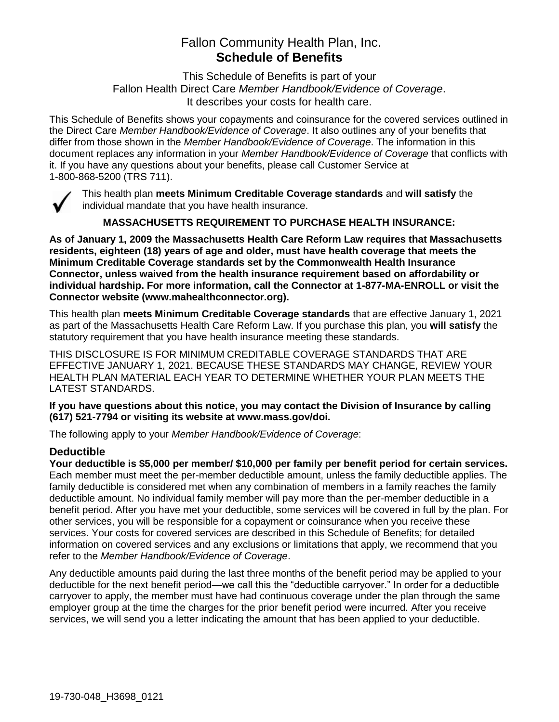# Fallon Community Health Plan, Inc. **Schedule of Benefits**

This Schedule of Benefits is part of your Fallon Health Direct Care *Member Handbook/Evidence of Coverage*. It describes your costs for health care.

This Schedule of Benefits shows your copayments and coinsurance for the covered services outlined in the Direct Care *Member Handbook/Evidence of Coverage*. It also outlines any of your benefits that differ from those shown in the *Member Handbook/Evidence of Coverage*. The information in this document replaces any information in your *Member Handbook/Evidence of Coverage* that conflicts with it. If you have any questions about your benefits, please call Customer Service at 1-800-868-5200 (TRS 711).



This health plan **meets Minimum Creditable Coverage standards** and **will satisfy** the individual mandate that you have health insurance.

**MASSACHUSETTS REQUIREMENT TO PURCHASE HEALTH INSURANCE:**

**As of January 1, 2009 the Massachusetts Health Care Reform Law requires that Massachusetts residents, eighteen (18) years of age and older, must have health coverage that meets the Minimum Creditable Coverage standards set by the Commonwealth Health Insurance Connector, unless waived from the health insurance requirement based on affordability or individual hardship. For more information, call the Connector at 1-877-MA-ENROLL or visit the Connector website (www.mahealthconnector.org).**

This health plan **meets Minimum Creditable Coverage standards** that are effective January 1, 2021 as part of the Massachusetts Health Care Reform Law. If you purchase this plan, you **will satisfy** the statutory requirement that you have health insurance meeting these standards.

THIS DISCLOSURE IS FOR MINIMUM CREDITABLE COVERAGE STANDARDS THAT ARE EFFECTIVE JANUARY 1, 2021. BECAUSE THESE STANDARDS MAY CHANGE, REVIEW YOUR HEALTH PLAN MATERIAL EACH YEAR TO DETERMINE WHETHER YOUR PLAN MEETS THE LATEST STANDARDS.

**If you have questions about this notice, you may contact the Division of Insurance by calling (617) 521-7794 or visiting its website at www.mass.gov/doi.** 

The following apply to your *Member Handbook/Evidence of Coverage*:

# **Deductible**

**Your deductible is \$5,000 per member/ \$10,000 per family per benefit period for certain services.** Each member must meet the per-member deductible amount, unless the family deductible applies. The family deductible is considered met when any combination of members in a family reaches the family deductible amount. No individual family member will pay more than the per-member deductible in a benefit period. After you have met your deductible, some services will be covered in full by the plan. For other services, you will be responsible for a copayment or coinsurance when you receive these services. Your costs for covered services are described in this Schedule of Benefits; for detailed information on covered services and any exclusions or limitations that apply, we recommend that you refer to the *Member Handbook/Evidence of Coverage*.

Any deductible amounts paid during the last three months of the benefit period may be applied to your deductible for the next benefit period—we call this the "deductible carryover." In order for a deductible carryover to apply, the member must have had continuous coverage under the plan through the same employer group at the time the charges for the prior benefit period were incurred. After you receive services, we will send you a letter indicating the amount that has been applied to your deductible.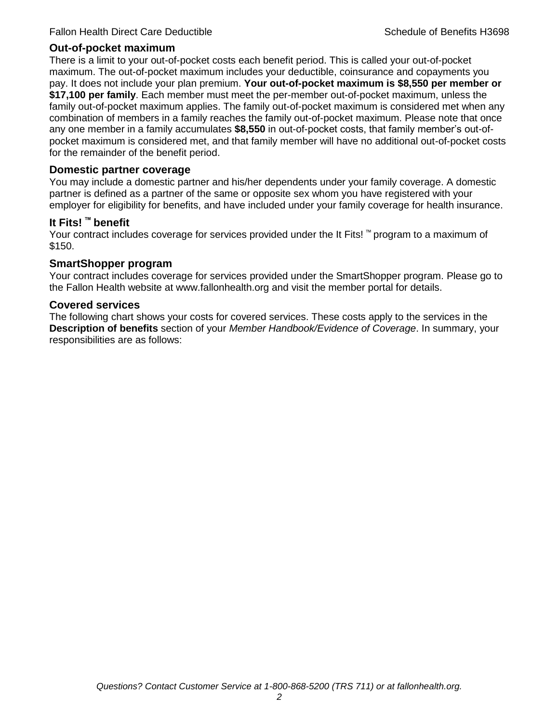#### **Out-of-pocket maximum**

There is a limit to your out-of-pocket costs each benefit period. This is called your out-of-pocket maximum. The out-of-pocket maximum includes your deductible, coinsurance and copayments you pay. It does not include your plan premium. **Your out-of-pocket maximum is \$8,550 per member or \$17,100 per family**. Each member must meet the per-member out-of-pocket maximum, unless the family out-of-pocket maximum applies. The family out-of-pocket maximum is considered met when any combination of members in a family reaches the family out-of-pocket maximum. Please note that once any one member in a family accumulates **\$8,550** in out-of-pocket costs, that family member's out-ofpocket maximum is considered met, and that family member will have no additional out-of-pocket costs for the remainder of the benefit period.

#### **Domestic partner coverage**

You may include a domestic partner and his/her dependents under your family coverage. A domestic partner is defined as a partner of the same or opposite sex whom you have registered with your employer for eligibility for benefits, and have included under your family coverage for health insurance.

#### **It Fits! ™ benefit**

Your contract includes coverage for services provided under the It Fits! ™ program to a maximum of \$150.

#### **SmartShopper program**

Your contract includes coverage for services provided under the SmartShopper program. Please go to the Fallon Health website at www.fallonhealth.org and visit the member portal for details.

#### **Covered services**

The following chart shows your costs for covered services. These costs apply to the services in the **Description of benefits** section of your *Member Handbook/Evidence of Coverage*. In summary, your responsibilities are as follows: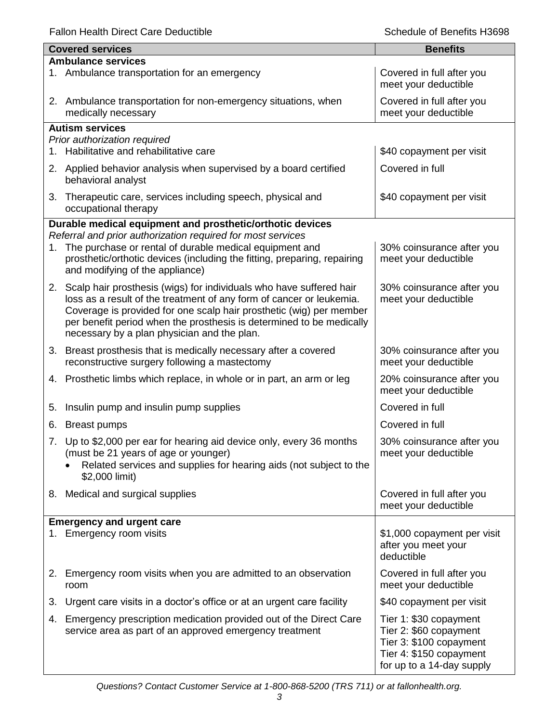Fallon Health Direct Care Deductible **Schedule of Benefits H3698** Schedule of Benefits H3698

 $\mathbf l$ 

|    | <b>Covered services</b>                                                                                                                                                                                                                                                                                                                   | <b>Benefits</b>                                                                                                                     |  |  |
|----|-------------------------------------------------------------------------------------------------------------------------------------------------------------------------------------------------------------------------------------------------------------------------------------------------------------------------------------------|-------------------------------------------------------------------------------------------------------------------------------------|--|--|
|    | <b>Ambulance services</b>                                                                                                                                                                                                                                                                                                                 |                                                                                                                                     |  |  |
|    | 1. Ambulance transportation for an emergency                                                                                                                                                                                                                                                                                              | Covered in full after you<br>meet your deductible                                                                                   |  |  |
|    | 2. Ambulance transportation for non-emergency situations, when<br>medically necessary                                                                                                                                                                                                                                                     | Covered in full after you<br>meet your deductible                                                                                   |  |  |
|    | <b>Autism services</b>                                                                                                                                                                                                                                                                                                                    |                                                                                                                                     |  |  |
|    | Prior authorization required                                                                                                                                                                                                                                                                                                              |                                                                                                                                     |  |  |
| 1. | Habilitative and rehabilitative care                                                                                                                                                                                                                                                                                                      | \$40 copayment per visit                                                                                                            |  |  |
|    | 2. Applied behavior analysis when supervised by a board certified<br>behavioral analyst                                                                                                                                                                                                                                                   | Covered in full                                                                                                                     |  |  |
|    | 3. Therapeutic care, services including speech, physical and<br>occupational therapy                                                                                                                                                                                                                                                      | \$40 copayment per visit                                                                                                            |  |  |
|    | Durable medical equipment and prosthetic/orthotic devices                                                                                                                                                                                                                                                                                 |                                                                                                                                     |  |  |
|    | Referral and prior authorization required for most services                                                                                                                                                                                                                                                                               |                                                                                                                                     |  |  |
| 1. | The purchase or rental of durable medical equipment and<br>prosthetic/orthotic devices (including the fitting, preparing, repairing<br>and modifying of the appliance)                                                                                                                                                                    | 30% coinsurance after you<br>meet your deductible                                                                                   |  |  |
| 2. | Scalp hair prosthesis (wigs) for individuals who have suffered hair<br>loss as a result of the treatment of any form of cancer or leukemia.<br>Coverage is provided for one scalp hair prosthetic (wig) per member<br>per benefit period when the prosthesis is determined to be medically<br>necessary by a plan physician and the plan. | 30% coinsurance after you<br>meet your deductible                                                                                   |  |  |
| 3. | Breast prosthesis that is medically necessary after a covered<br>reconstructive surgery following a mastectomy                                                                                                                                                                                                                            | 30% coinsurance after you<br>meet your deductible                                                                                   |  |  |
|    | 4. Prosthetic limbs which replace, in whole or in part, an arm or leg                                                                                                                                                                                                                                                                     | 20% coinsurance after you<br>meet your deductible                                                                                   |  |  |
| 5. | Insulin pump and insulin pump supplies                                                                                                                                                                                                                                                                                                    | Covered in full                                                                                                                     |  |  |
| 6. | <b>Breast pumps</b>                                                                                                                                                                                                                                                                                                                       | Covered in full                                                                                                                     |  |  |
|    | 7. Up to \$2,000 per ear for hearing aid device only, every 36 months<br>(must be 21 years of age or younger)<br>Related services and supplies for hearing aids (not subject to the<br>\$2,000 limit)                                                                                                                                     | 30% coinsurance after you<br>meet your deductible                                                                                   |  |  |
|    | 8. Medical and surgical supplies                                                                                                                                                                                                                                                                                                          | Covered in full after you<br>meet your deductible                                                                                   |  |  |
|    | <b>Emergency and urgent care</b>                                                                                                                                                                                                                                                                                                          |                                                                                                                                     |  |  |
|    | 1. Emergency room visits                                                                                                                                                                                                                                                                                                                  | \$1,000 copayment per visit<br>after you meet your<br>deductible                                                                    |  |  |
|    | 2. Emergency room visits when you are admitted to an observation<br>room                                                                                                                                                                                                                                                                  | Covered in full after you<br>meet your deductible                                                                                   |  |  |
| 3. | Urgent care visits in a doctor's office or at an urgent care facility                                                                                                                                                                                                                                                                     | \$40 copayment per visit                                                                                                            |  |  |
| 4. | Emergency prescription medication provided out of the Direct Care<br>service area as part of an approved emergency treatment                                                                                                                                                                                                              | Tier 1: \$30 copayment<br>Tier 2: \$60 copayment<br>Tier 3: \$100 copayment<br>Tier 4: \$150 copayment<br>for up to a 14-day supply |  |  |

*Questions? Contact Customer Service at 1-800-868-5200 (TRS 711) or at fallonhealth.org.*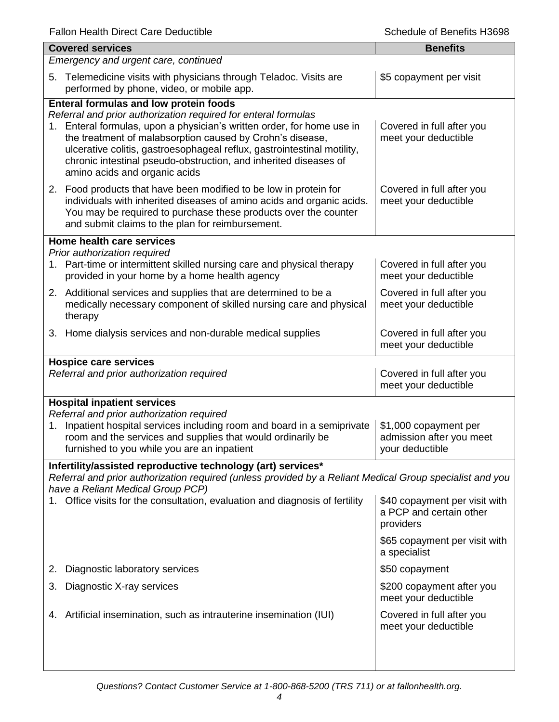| <b>Covered services</b>                                                                                                                                                                                                                                                                                                                                                                                                         | <b>Benefits</b>                                                       |  |  |
|---------------------------------------------------------------------------------------------------------------------------------------------------------------------------------------------------------------------------------------------------------------------------------------------------------------------------------------------------------------------------------------------------------------------------------|-----------------------------------------------------------------------|--|--|
| Emergency and urgent care, continued                                                                                                                                                                                                                                                                                                                                                                                            |                                                                       |  |  |
| Telemedicine visits with physicians through Teladoc. Visits are<br>5.<br>performed by phone, video, or mobile app.                                                                                                                                                                                                                                                                                                              | \$5 copayment per visit                                               |  |  |
| Enteral formulas and low protein foods<br>Referral and prior authorization required for enteral formulas<br>1. Enteral formulas, upon a physician's written order, for home use in<br>the treatment of malabsorption caused by Crohn's disease,<br>ulcerative colitis, gastroesophageal reflux, gastrointestinal motility,<br>chronic intestinal pseudo-obstruction, and inherited diseases of<br>amino acids and organic acids | Covered in full after you<br>meet your deductible                     |  |  |
| 2. Food products that have been modified to be low in protein for<br>individuals with inherited diseases of amino acids and organic acids.<br>You may be required to purchase these products over the counter<br>and submit claims to the plan for reimbursement.                                                                                                                                                               | Covered in full after you<br>meet your deductible                     |  |  |
| Home health care services                                                                                                                                                                                                                                                                                                                                                                                                       |                                                                       |  |  |
| Prior authorization required<br>1. Part-time or intermittent skilled nursing care and physical therapy<br>provided in your home by a home health agency                                                                                                                                                                                                                                                                         | Covered in full after you<br>meet your deductible                     |  |  |
| 2. Additional services and supplies that are determined to be a<br>medically necessary component of skilled nursing care and physical<br>therapy                                                                                                                                                                                                                                                                                | Covered in full after you<br>meet your deductible                     |  |  |
| 3. Home dialysis services and non-durable medical supplies                                                                                                                                                                                                                                                                                                                                                                      | Covered in full after you<br>meet your deductible                     |  |  |
| <b>Hospice care services</b><br>Referral and prior authorization required                                                                                                                                                                                                                                                                                                                                                       | Covered in full after you<br>meet your deductible                     |  |  |
| <b>Hospital inpatient services</b>                                                                                                                                                                                                                                                                                                                                                                                              |                                                                       |  |  |
| Referral and prior authorization required<br>Inpatient hospital services including room and board in a semiprivate<br>1.<br>room and the services and supplies that would ordinarily be<br>furnished to you while you are an inpatient                                                                                                                                                                                          | \$1,000 copayment per<br>admission after you meet<br>your deductible  |  |  |
| Infertility/assisted reproductive technology (art) services*                                                                                                                                                                                                                                                                                                                                                                    |                                                                       |  |  |
| Referral and prior authorization required (unless provided by a Reliant Medical Group specialist and you<br>have a Reliant Medical Group PCP)                                                                                                                                                                                                                                                                                   |                                                                       |  |  |
| 1. Office visits for the consultation, evaluation and diagnosis of fertility                                                                                                                                                                                                                                                                                                                                                    | \$40 copayment per visit with<br>a PCP and certain other<br>providers |  |  |
|                                                                                                                                                                                                                                                                                                                                                                                                                                 | \$65 copayment per visit with<br>a specialist                         |  |  |
| Diagnostic laboratory services<br>2.                                                                                                                                                                                                                                                                                                                                                                                            | \$50 copayment                                                        |  |  |
| Diagnostic X-ray services<br>3.                                                                                                                                                                                                                                                                                                                                                                                                 | \$200 copayment after you<br>meet your deductible                     |  |  |
| Artificial insemination, such as intrauterine insemination (IUI)<br>4.                                                                                                                                                                                                                                                                                                                                                          | Covered in full after you<br>meet your deductible                     |  |  |
|                                                                                                                                                                                                                                                                                                                                                                                                                                 |                                                                       |  |  |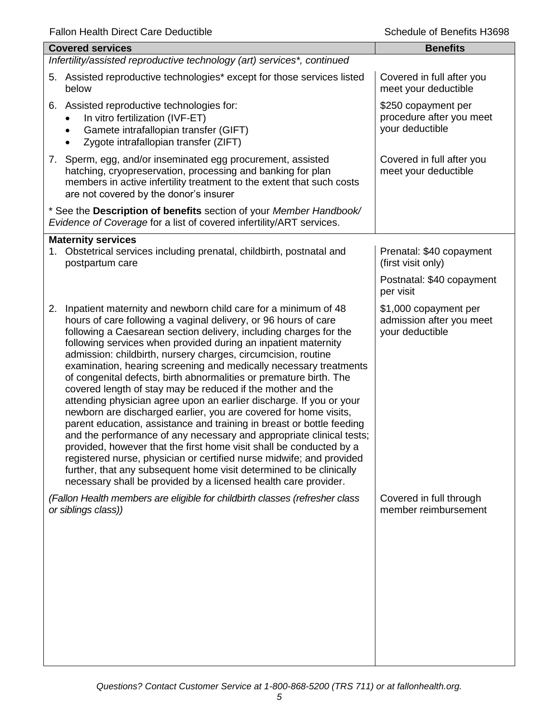| <b>Covered services</b>                                                                                                                                                                                                                                                                                                                                                                                                                                                                                                                                                                                                                                                                                                                                                                                                                                                                                                                                                                                                                                                                                                                        | <b>Benefits</b>                                                      |
|------------------------------------------------------------------------------------------------------------------------------------------------------------------------------------------------------------------------------------------------------------------------------------------------------------------------------------------------------------------------------------------------------------------------------------------------------------------------------------------------------------------------------------------------------------------------------------------------------------------------------------------------------------------------------------------------------------------------------------------------------------------------------------------------------------------------------------------------------------------------------------------------------------------------------------------------------------------------------------------------------------------------------------------------------------------------------------------------------------------------------------------------|----------------------------------------------------------------------|
| Infertility/assisted reproductive technology (art) services*, continued                                                                                                                                                                                                                                                                                                                                                                                                                                                                                                                                                                                                                                                                                                                                                                                                                                                                                                                                                                                                                                                                        |                                                                      |
| 5. Assisted reproductive technologies* except for those services listed<br>below                                                                                                                                                                                                                                                                                                                                                                                                                                                                                                                                                                                                                                                                                                                                                                                                                                                                                                                                                                                                                                                               | Covered in full after you<br>meet your deductible                    |
| 6. Assisted reproductive technologies for:<br>In vitro fertilization (IVF-ET)<br>Gamete intrafallopian transfer (GIFT)<br>$\bullet$<br>Zygote intrafallopian transfer (ZIFT)                                                                                                                                                                                                                                                                                                                                                                                                                                                                                                                                                                                                                                                                                                                                                                                                                                                                                                                                                                   | \$250 copayment per<br>procedure after you meet<br>your deductible   |
| 7. Sperm, egg, and/or inseminated egg procurement, assisted<br>hatching, cryopreservation, processing and banking for plan<br>members in active infertility treatment to the extent that such costs<br>are not covered by the donor's insurer                                                                                                                                                                                                                                                                                                                                                                                                                                                                                                                                                                                                                                                                                                                                                                                                                                                                                                  | Covered in full after you<br>meet your deductible                    |
| * See the Description of benefits section of your Member Handbook/<br>Evidence of Coverage for a list of covered infertility/ART services.                                                                                                                                                                                                                                                                                                                                                                                                                                                                                                                                                                                                                                                                                                                                                                                                                                                                                                                                                                                                     |                                                                      |
| <b>Maternity services</b>                                                                                                                                                                                                                                                                                                                                                                                                                                                                                                                                                                                                                                                                                                                                                                                                                                                                                                                                                                                                                                                                                                                      |                                                                      |
| 1. Obstetrical services including prenatal, childbirth, postnatal and<br>postpartum care                                                                                                                                                                                                                                                                                                                                                                                                                                                                                                                                                                                                                                                                                                                                                                                                                                                                                                                                                                                                                                                       | Prenatal: \$40 copayment<br>(first visit only)                       |
|                                                                                                                                                                                                                                                                                                                                                                                                                                                                                                                                                                                                                                                                                                                                                                                                                                                                                                                                                                                                                                                                                                                                                | Postnatal: \$40 copayment<br>per visit                               |
| Inpatient maternity and newborn child care for a minimum of 48<br>2.<br>hours of care following a vaginal delivery, or 96 hours of care<br>following a Caesarean section delivery, including charges for the<br>following services when provided during an inpatient maternity<br>admission: childbirth, nursery charges, circumcision, routine<br>examination, hearing screening and medically necessary treatments<br>of congenital defects, birth abnormalities or premature birth. The<br>covered length of stay may be reduced if the mother and the<br>attending physician agree upon an earlier discharge. If you or your<br>newborn are discharged earlier, you are covered for home visits,<br>parent education, assistance and training in breast or bottle feeding<br>and the performance of any necessary and appropriate clinical tests;<br>provided, however that the first home visit shall be conducted by a<br>registered nurse, physician or certified nurse midwife; and provided<br>further, that any subsequent home visit determined to be clinically<br>necessary shall be provided by a licensed health care provider. | \$1,000 copayment per<br>admission after you meet<br>your deductible |
| (Fallon Health members are eligible for childbirth classes (refresher class<br>or siblings class))                                                                                                                                                                                                                                                                                                                                                                                                                                                                                                                                                                                                                                                                                                                                                                                                                                                                                                                                                                                                                                             | Covered in full through<br>member reimbursement                      |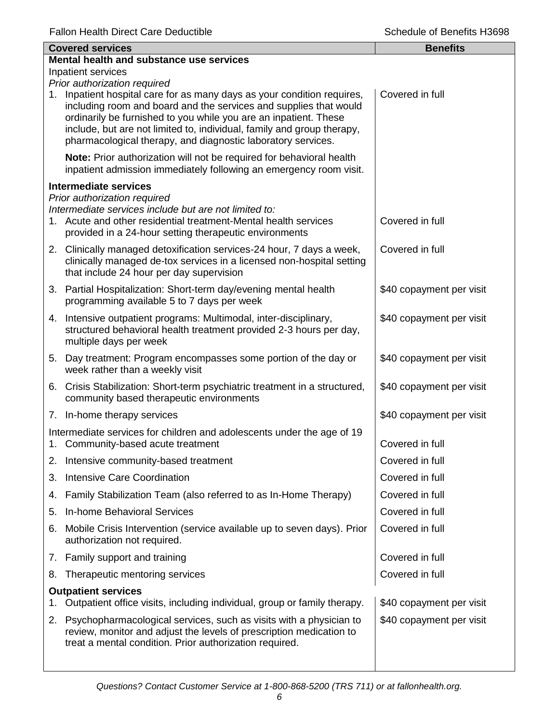|    | <b>Covered services</b>                                                                                                                                                                                                                                                                                                                                 | <b>Benefits</b>          |  |  |
|----|---------------------------------------------------------------------------------------------------------------------------------------------------------------------------------------------------------------------------------------------------------------------------------------------------------------------------------------------------------|--------------------------|--|--|
|    | Mental health and substance use services                                                                                                                                                                                                                                                                                                                |                          |  |  |
|    | Inpatient services<br>Prior authorization required                                                                                                                                                                                                                                                                                                      |                          |  |  |
| 1. | Inpatient hospital care for as many days as your condition requires,<br>including room and board and the services and supplies that would<br>ordinarily be furnished to you while you are an inpatient. These<br>include, but are not limited to, individual, family and group therapy,<br>pharmacological therapy, and diagnostic laboratory services. | Covered in full          |  |  |
|    | Note: Prior authorization will not be required for behavioral health<br>inpatient admission immediately following an emergency room visit.                                                                                                                                                                                                              |                          |  |  |
|    | <b>Intermediate services</b>                                                                                                                                                                                                                                                                                                                            |                          |  |  |
|    | Prior authorization required<br>Intermediate services include but are not limited to:<br>1. Acute and other residential treatment-Mental health services<br>provided in a 24-hour setting therapeutic environments                                                                                                                                      | Covered in full          |  |  |
|    | 2. Clinically managed detoxification services-24 hour, 7 days a week,<br>clinically managed de-tox services in a licensed non-hospital setting<br>that include 24 hour per day supervision                                                                                                                                                              | Covered in full          |  |  |
|    | 3. Partial Hospitalization: Short-term day/evening mental health<br>programming available 5 to 7 days per week                                                                                                                                                                                                                                          | \$40 copayment per visit |  |  |
|    | 4. Intensive outpatient programs: Multimodal, inter-disciplinary,<br>structured behavioral health treatment provided 2-3 hours per day,<br>multiple days per week                                                                                                                                                                                       | \$40 copayment per visit |  |  |
|    | 5. Day treatment: Program encompasses some portion of the day or<br>week rather than a weekly visit                                                                                                                                                                                                                                                     | \$40 copayment per visit |  |  |
|    | 6. Crisis Stabilization: Short-term psychiatric treatment in a structured,<br>community based therapeutic environments                                                                                                                                                                                                                                  | \$40 copayment per visit |  |  |
|    | 7. In-home therapy services                                                                                                                                                                                                                                                                                                                             | \$40 copayment per visit |  |  |
| 1. | Intermediate services for children and adolescents under the age of 19<br>Community-based acute treatment                                                                                                                                                                                                                                               | Covered in full          |  |  |
|    | 2. Intensive community-based treatment                                                                                                                                                                                                                                                                                                                  | Covered in full          |  |  |
| 3. | <b>Intensive Care Coordination</b>                                                                                                                                                                                                                                                                                                                      | Covered in full          |  |  |
| 4. | Family Stabilization Team (also referred to as In-Home Therapy)                                                                                                                                                                                                                                                                                         | Covered in full          |  |  |
| 5. | <b>In-home Behavioral Services</b>                                                                                                                                                                                                                                                                                                                      | Covered in full          |  |  |
| 6. | Mobile Crisis Intervention (service available up to seven days). Prior<br>authorization not required.                                                                                                                                                                                                                                                   | Covered in full          |  |  |
|    | 7. Family support and training                                                                                                                                                                                                                                                                                                                          | Covered in full          |  |  |
| 8. | Therapeutic mentoring services                                                                                                                                                                                                                                                                                                                          | Covered in full          |  |  |
|    | <b>Outpatient services</b><br>Outpatient office visits, including individual, group or family therapy.                                                                                                                                                                                                                                                  | \$40 copayment per visit |  |  |
| 2. | Psychopharmacological services, such as visits with a physician to<br>review, monitor and adjust the levels of prescription medication to<br>treat a mental condition. Prior authorization required.                                                                                                                                                    | \$40 copayment per visit |  |  |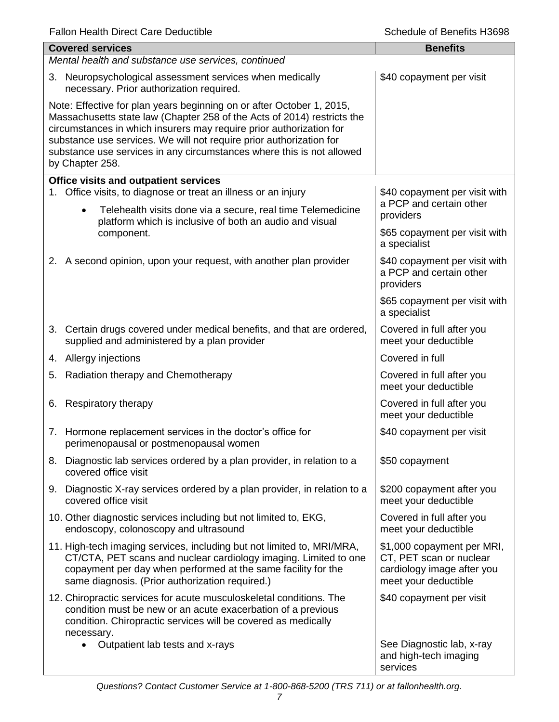|                                                                                                                                                                                                                                                                                                                                                                                            | <b>Covered services</b><br>Mental health and substance use services, continued                                                                                                                                                                                 | <b>Benefits</b>                                                                                             |
|--------------------------------------------------------------------------------------------------------------------------------------------------------------------------------------------------------------------------------------------------------------------------------------------------------------------------------------------------------------------------------------------|----------------------------------------------------------------------------------------------------------------------------------------------------------------------------------------------------------------------------------------------------------------|-------------------------------------------------------------------------------------------------------------|
|                                                                                                                                                                                                                                                                                                                                                                                            | 3. Neuropsychological assessment services when medically                                                                                                                                                                                                       | \$40 copayment per visit                                                                                    |
|                                                                                                                                                                                                                                                                                                                                                                                            | necessary. Prior authorization required.                                                                                                                                                                                                                       |                                                                                                             |
| Note: Effective for plan years beginning on or after October 1, 2015,<br>Massachusetts state law (Chapter 258 of the Acts of 2014) restricts the<br>circumstances in which insurers may require prior authorization for<br>substance use services. We will not require prior authorization for<br>substance use services in any circumstances where this is not allowed<br>by Chapter 258. |                                                                                                                                                                                                                                                                |                                                                                                             |
|                                                                                                                                                                                                                                                                                                                                                                                            | <b>Office visits and outpatient services</b><br>1. Office visits, to diagnose or treat an illness or an injury                                                                                                                                                 | \$40 copayment per visit with                                                                               |
|                                                                                                                                                                                                                                                                                                                                                                                            | Telehealth visits done via a secure, real time Telemedicine<br>$\bullet$<br>platform which is inclusive of both an audio and visual                                                                                                                            | a PCP and certain other<br>providers                                                                        |
|                                                                                                                                                                                                                                                                                                                                                                                            | component.                                                                                                                                                                                                                                                     | \$65 copayment per visit with<br>a specialist                                                               |
|                                                                                                                                                                                                                                                                                                                                                                                            | 2. A second opinion, upon your request, with another plan provider                                                                                                                                                                                             | \$40 copayment per visit with<br>a PCP and certain other<br>providers                                       |
|                                                                                                                                                                                                                                                                                                                                                                                            |                                                                                                                                                                                                                                                                | \$65 copayment per visit with<br>a specialist                                                               |
|                                                                                                                                                                                                                                                                                                                                                                                            | 3. Certain drugs covered under medical benefits, and that are ordered,<br>supplied and administered by a plan provider                                                                                                                                         | Covered in full after you<br>meet your deductible                                                           |
|                                                                                                                                                                                                                                                                                                                                                                                            | 4. Allergy injections                                                                                                                                                                                                                                          | Covered in full                                                                                             |
| 5.                                                                                                                                                                                                                                                                                                                                                                                         | Radiation therapy and Chemotherapy                                                                                                                                                                                                                             | Covered in full after you<br>meet your deductible                                                           |
| 6.                                                                                                                                                                                                                                                                                                                                                                                         | <b>Respiratory therapy</b>                                                                                                                                                                                                                                     | Covered in full after you<br>meet your deductible                                                           |
|                                                                                                                                                                                                                                                                                                                                                                                            | 7. Hormone replacement services in the doctor's office for<br>perimenopausal or postmenopausal women                                                                                                                                                           | \$40 copayment per visit                                                                                    |
|                                                                                                                                                                                                                                                                                                                                                                                            | 8. Diagnostic lab services ordered by a plan provider, in relation to a<br>covered office visit                                                                                                                                                                | \$50 copayment                                                                                              |
|                                                                                                                                                                                                                                                                                                                                                                                            | 9. Diagnostic X-ray services ordered by a plan provider, in relation to a<br>covered office visit                                                                                                                                                              | \$200 copayment after you<br>meet your deductible                                                           |
|                                                                                                                                                                                                                                                                                                                                                                                            | 10. Other diagnostic services including but not limited to, EKG,<br>endoscopy, colonoscopy and ultrasound                                                                                                                                                      | Covered in full after you<br>meet your deductible                                                           |
|                                                                                                                                                                                                                                                                                                                                                                                            | 11. High-tech imaging services, including but not limited to, MRI/MRA,<br>CT/CTA, PET scans and nuclear cardiology imaging. Limited to one<br>copayment per day when performed at the same facility for the<br>same diagnosis. (Prior authorization required.) | \$1,000 copayment per MRI,<br>CT, PET scan or nuclear<br>cardiology image after you<br>meet your deductible |
|                                                                                                                                                                                                                                                                                                                                                                                            | 12. Chiropractic services for acute musculoskeletal conditions. The<br>condition must be new or an acute exacerbation of a previous<br>condition. Chiropractic services will be covered as medically                                                           | \$40 copayment per visit                                                                                    |
|                                                                                                                                                                                                                                                                                                                                                                                            | necessary.<br>Outpatient lab tests and x-rays                                                                                                                                                                                                                  | See Diagnostic lab, x-ray<br>and high-tech imaging<br>services                                              |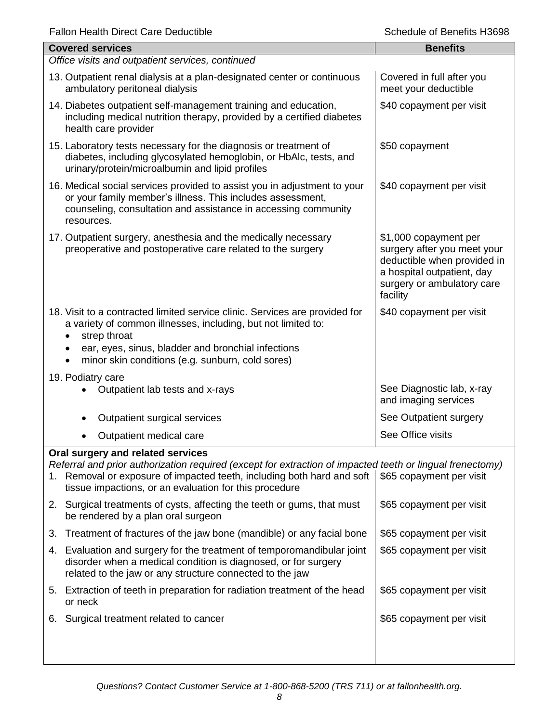| <b>Covered services</b>                                                                                                                                                                                                                                                            | <b>Benefits</b>                                                                                                                                             |  |  |
|------------------------------------------------------------------------------------------------------------------------------------------------------------------------------------------------------------------------------------------------------------------------------------|-------------------------------------------------------------------------------------------------------------------------------------------------------------|--|--|
| Office visits and outpatient services, continued                                                                                                                                                                                                                                   |                                                                                                                                                             |  |  |
| 13. Outpatient renal dialysis at a plan-designated center or continuous<br>ambulatory peritoneal dialysis                                                                                                                                                                          | Covered in full after you<br>meet your deductible                                                                                                           |  |  |
| 14. Diabetes outpatient self-management training and education,<br>including medical nutrition therapy, provided by a certified diabetes<br>health care provider                                                                                                                   | \$40 copayment per visit                                                                                                                                    |  |  |
| 15. Laboratory tests necessary for the diagnosis or treatment of<br>diabetes, including glycosylated hemoglobin, or HbAlc, tests, and<br>urinary/protein/microalbumin and lipid profiles                                                                                           | \$50 copayment                                                                                                                                              |  |  |
| 16. Medical social services provided to assist you in adjustment to your<br>or your family member's illness. This includes assessment,<br>counseling, consultation and assistance in accessing community<br>resources.                                                             | \$40 copayment per visit                                                                                                                                    |  |  |
| 17. Outpatient surgery, anesthesia and the medically necessary<br>preoperative and postoperative care related to the surgery                                                                                                                                                       | \$1,000 copayment per<br>surgery after you meet your<br>deductible when provided in<br>a hospital outpatient, day<br>surgery or ambulatory care<br>facility |  |  |
| 18. Visit to a contracted limited service clinic. Services are provided for<br>a variety of common illnesses, including, but not limited to:<br>strep throat<br>ear, eyes, sinus, bladder and bronchial infections<br>minor skin conditions (e.g. sunburn, cold sores)             | \$40 copayment per visit                                                                                                                                    |  |  |
| 19. Podiatry care                                                                                                                                                                                                                                                                  |                                                                                                                                                             |  |  |
| Outpatient lab tests and x-rays                                                                                                                                                                                                                                                    | See Diagnostic lab, x-ray<br>and imaging services                                                                                                           |  |  |
| Outpatient surgical services                                                                                                                                                                                                                                                       | See Outpatient surgery                                                                                                                                      |  |  |
| Outpatient medical care                                                                                                                                                                                                                                                            | See Office visits                                                                                                                                           |  |  |
| Oral surgery and related services<br>Referral and prior authorization required (except for extraction of impacted teeth or lingual frenectomy)<br>1. Removal or exposure of impacted teeth, including both hard and soft<br>tissue impactions, or an evaluation for this procedure | \$65 copayment per visit                                                                                                                                    |  |  |
| 2. Surgical treatments of cysts, affecting the teeth or gums, that must<br>be rendered by a plan oral surgeon                                                                                                                                                                      | \$65 copayment per visit                                                                                                                                    |  |  |
| Treatment of fractures of the jaw bone (mandible) or any facial bone<br>3.                                                                                                                                                                                                         | \$65 copayment per visit                                                                                                                                    |  |  |
| Evaluation and surgery for the treatment of temporomandibular joint<br>4.<br>disorder when a medical condition is diagnosed, or for surgery<br>related to the jaw or any structure connected to the jaw                                                                            | \$65 copayment per visit                                                                                                                                    |  |  |
| 5. Extraction of teeth in preparation for radiation treatment of the head<br>or neck                                                                                                                                                                                               | \$65 copayment per visit                                                                                                                                    |  |  |
| Surgical treatment related to cancer<br>6.                                                                                                                                                                                                                                         | \$65 copayment per visit                                                                                                                                    |  |  |
|                                                                                                                                                                                                                                                                                    |                                                                                                                                                             |  |  |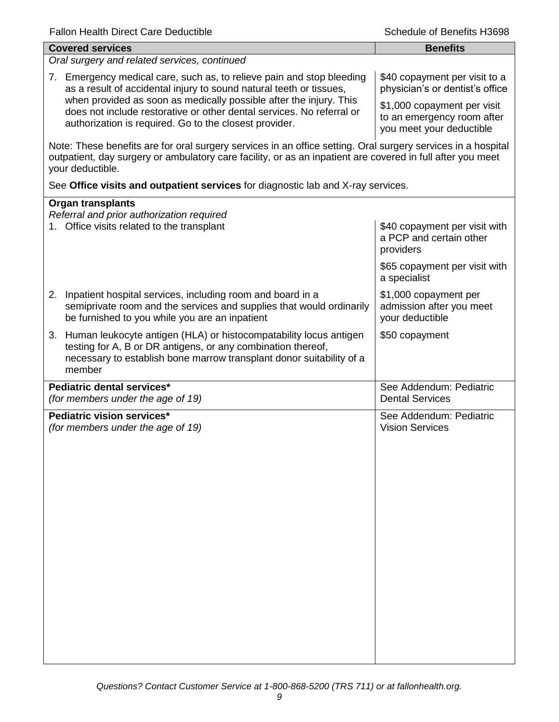| <b>Covered services</b>                                                                                                                                                                                                                        | <b>Benefits</b>                                                                       |
|------------------------------------------------------------------------------------------------------------------------------------------------------------------------------------------------------------------------------------------------|---------------------------------------------------------------------------------------|
| Oral surgery and related services, continued                                                                                                                                                                                                   |                                                                                       |
| 7. Emergency medical care, such as, to relieve pain and stop bleeding<br>as a result of accidental injury to sound natural teeth or tissues,                                                                                                   | \$40 copayment per visit to a<br>physician's or dentist's office                      |
| when provided as soon as medically possible after the injury. This<br>does not include restorative or other dental services. No referral or<br>authorization is required. Go to the closest provider.                                          | \$1,000 copayment per visit<br>to an emergency room after<br>you meet your deductible |
| Note: These benefits are for oral surgery services in an office setting. Oral surgery services in a hospital<br>outpatient, day surgery or ambulatory care facility, or as an inpatient are covered in full after you meet<br>your deductible. |                                                                                       |
| See Office visits and outpatient services for diagnostic lab and X-ray services.                                                                                                                                                               |                                                                                       |
| <b>Organ transplants</b>                                                                                                                                                                                                                       |                                                                                       |
| Referral and prior authorization required<br>1. Office visits related to the transplant                                                                                                                                                        | \$40 copayment per visit with<br>a PCP and certain other<br>providers                 |
|                                                                                                                                                                                                                                                | \$65 copayment per visit with<br>a specialist                                         |
| Inpatient hospital services, including room and board in a<br>2.<br>semiprivate room and the services and supplies that would ordinarily<br>be furnished to you while you are an inpatient                                                     | \$1,000 copayment per<br>admission after you meet<br>your deductible                  |
| 3. Human leukocyte antigen (HLA) or histocompatability locus antigen<br>testing for A, B or DR antigens, or any combination thereof,<br>necessary to establish bone marrow transplant donor suitability of a<br>member                         | \$50 copayment                                                                        |
| Pediatric dental services*<br>(for members under the age of 19)                                                                                                                                                                                | See Addendum: Pediatric<br><b>Dental Services</b>                                     |
| Pediatric vision services*<br>(for members under the age of 19)                                                                                                                                                                                | See Addendum: Pediatric<br><b>Vision Services</b>                                     |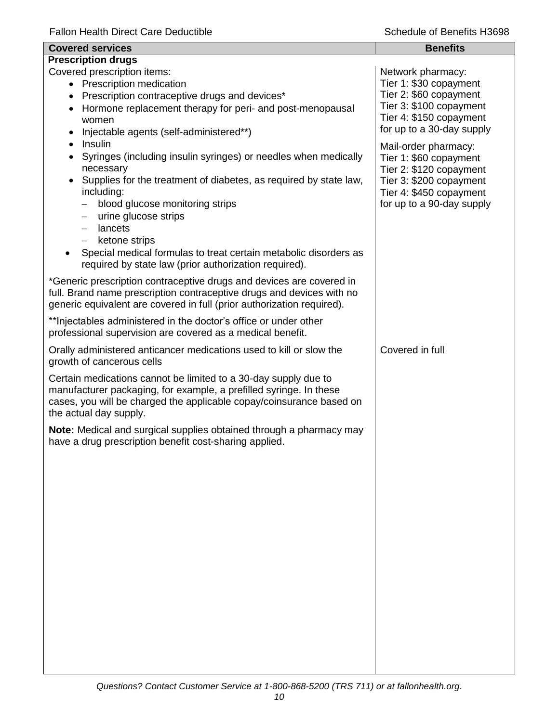| <b>Covered services</b>                                                                                                                                                                                                                                                                                                                                                                                                                                                | <b>Benefits</b>                                                                                                                                              |
|------------------------------------------------------------------------------------------------------------------------------------------------------------------------------------------------------------------------------------------------------------------------------------------------------------------------------------------------------------------------------------------------------------------------------------------------------------------------|--------------------------------------------------------------------------------------------------------------------------------------------------------------|
| <b>Prescription drugs</b>                                                                                                                                                                                                                                                                                                                                                                                                                                              |                                                                                                                                                              |
| Covered prescription items:<br>• Prescription medication<br>Prescription contraceptive drugs and devices*<br>$\bullet$<br>Hormone replacement therapy for peri- and post-menopausal<br>$\bullet$<br>women<br>Injectable agents (self-administered**)                                                                                                                                                                                                                   | Network pharmacy:<br>Tier 1: \$30 copayment<br>Tier 2: \$60 copayment<br>Tier 3: \$100 copayment<br>Tier 4: \$150 copayment<br>for up to a 30-day supply     |
| Insulin<br>$\bullet$<br>Syringes (including insulin syringes) or needles when medically<br>$\bullet$<br>necessary<br>Supplies for the treatment of diabetes, as required by state law,<br>$\bullet$<br>including:<br>blood glucose monitoring strips<br>urine glucose strips<br>—<br>lancets<br>ketone strips<br>$\overline{\phantom{0}}$<br>Special medical formulas to treat certain metabolic disorders as<br>required by state law (prior authorization required). | Mail-order pharmacy:<br>Tier 1: \$60 copayment<br>Tier 2: \$120 copayment<br>Tier 3: \$200 copayment<br>Tier 4: \$450 copayment<br>for up to a 90-day supply |
| *Generic prescription contraceptive drugs and devices are covered in<br>full. Brand name prescription contraceptive drugs and devices with no<br>generic equivalent are covered in full (prior authorization required).                                                                                                                                                                                                                                                |                                                                                                                                                              |
| ** Injectables administered in the doctor's office or under other<br>professional supervision are covered as a medical benefit.                                                                                                                                                                                                                                                                                                                                        |                                                                                                                                                              |
| Orally administered anticancer medications used to kill or slow the<br>growth of cancerous cells                                                                                                                                                                                                                                                                                                                                                                       | Covered in full                                                                                                                                              |
| Certain medications cannot be limited to a 30-day supply due to<br>manufacturer packaging, for example, a prefilled syringe. In these<br>cases, you will be charged the applicable copay/coinsurance based on<br>the actual day supply.                                                                                                                                                                                                                                |                                                                                                                                                              |
| Note: Medical and surgical supplies obtained through a pharmacy may<br>have a drug prescription benefit cost-sharing applied.                                                                                                                                                                                                                                                                                                                                          |                                                                                                                                                              |
|                                                                                                                                                                                                                                                                                                                                                                                                                                                                        |                                                                                                                                                              |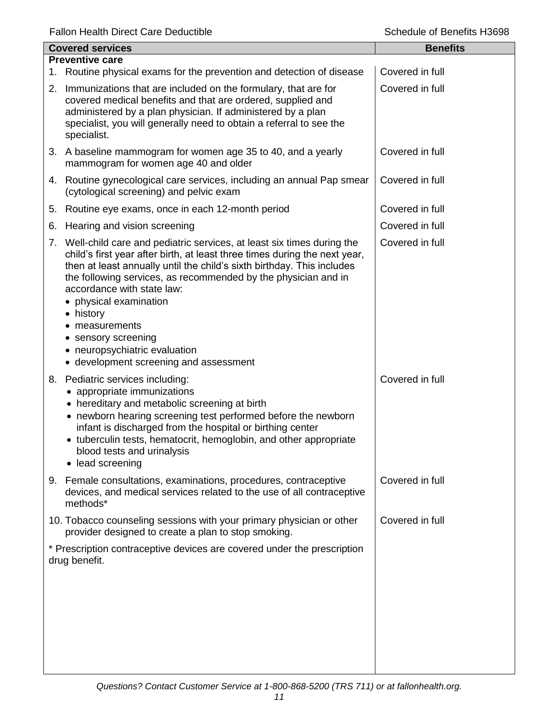|                                                                                                                                                                                                                                                                                                                                                                                                                             | <b>Benefits</b>                                                                                                                                                                                                                                                                                                                                                                                                                                                                                                                                                                                                                                                                                                              |  |  |
|-----------------------------------------------------------------------------------------------------------------------------------------------------------------------------------------------------------------------------------------------------------------------------------------------------------------------------------------------------------------------------------------------------------------------------|------------------------------------------------------------------------------------------------------------------------------------------------------------------------------------------------------------------------------------------------------------------------------------------------------------------------------------------------------------------------------------------------------------------------------------------------------------------------------------------------------------------------------------------------------------------------------------------------------------------------------------------------------------------------------------------------------------------------------|--|--|
| <b>Preventive care</b>                                                                                                                                                                                                                                                                                                                                                                                                      |                                                                                                                                                                                                                                                                                                                                                                                                                                                                                                                                                                                                                                                                                                                              |  |  |
|                                                                                                                                                                                                                                                                                                                                                                                                                             | Covered in full                                                                                                                                                                                                                                                                                                                                                                                                                                                                                                                                                                                                                                                                                                              |  |  |
| covered medical benefits and that are ordered, supplied and<br>administered by a plan physician. If administered by a plan<br>specialist, you will generally need to obtain a referral to see the<br>specialist.                                                                                                                                                                                                            | Covered in full                                                                                                                                                                                                                                                                                                                                                                                                                                                                                                                                                                                                                                                                                                              |  |  |
| mammogram for women age 40 and older                                                                                                                                                                                                                                                                                                                                                                                        | Covered in full                                                                                                                                                                                                                                                                                                                                                                                                                                                                                                                                                                                                                                                                                                              |  |  |
| (cytological screening) and pelvic exam                                                                                                                                                                                                                                                                                                                                                                                     | Covered in full                                                                                                                                                                                                                                                                                                                                                                                                                                                                                                                                                                                                                                                                                                              |  |  |
|                                                                                                                                                                                                                                                                                                                                                                                                                             | Covered in full                                                                                                                                                                                                                                                                                                                                                                                                                                                                                                                                                                                                                                                                                                              |  |  |
| Hearing and vision screening                                                                                                                                                                                                                                                                                                                                                                                                | Covered in full                                                                                                                                                                                                                                                                                                                                                                                                                                                                                                                                                                                                                                                                                                              |  |  |
| child's first year after birth, at least three times during the next year,<br>then at least annually until the child's sixth birthday. This includes<br>the following services, as recommended by the physician and in<br>accordance with state law:<br>• physical examination<br>• history<br>measurements<br>sensory screening<br>٠<br>neuropsychiatric evaluation<br>$\bullet$<br>• development screening and assessment | Covered in full                                                                                                                                                                                                                                                                                                                                                                                                                                                                                                                                                                                                                                                                                                              |  |  |
| • appropriate immunizations<br>• hereditary and metabolic screening at birth<br>• newborn hearing screening test performed before the newborn<br>infant is discharged from the hospital or birthing center<br>• tuberculin tests, hematocrit, hemoglobin, and other appropriate<br>blood tests and urinalysis<br>• lead screening                                                                                           | Covered in full                                                                                                                                                                                                                                                                                                                                                                                                                                                                                                                                                                                                                                                                                                              |  |  |
| devices, and medical services related to the use of all contraceptive<br>methods*                                                                                                                                                                                                                                                                                                                                           | Covered in full                                                                                                                                                                                                                                                                                                                                                                                                                                                                                                                                                                                                                                                                                                              |  |  |
| provider designed to create a plan to stop smoking.                                                                                                                                                                                                                                                                                                                                                                         | Covered in full                                                                                                                                                                                                                                                                                                                                                                                                                                                                                                                                                                                                                                                                                                              |  |  |
|                                                                                                                                                                                                                                                                                                                                                                                                                             |                                                                                                                                                                                                                                                                                                                                                                                                                                                                                                                                                                                                                                                                                                                              |  |  |
|                                                                                                                                                                                                                                                                                                                                                                                                                             | <b>Covered services</b><br>1. Routine physical exams for the prevention and detection of disease<br>2. Immunizations that are included on the formulary, that are for<br>3. A baseline mammogram for women age 35 to 40, and a yearly<br>4. Routine gynecological care services, including an annual Pap smear<br>5. Routine eye exams, once in each 12-month period<br>7. Well-child care and pediatric services, at least six times during the<br>8. Pediatric services including:<br>9. Female consultations, examinations, procedures, contraceptive<br>10. Tobacco counseling sessions with your primary physician or other<br>* Prescription contraceptive devices are covered under the prescription<br>drug benefit. |  |  |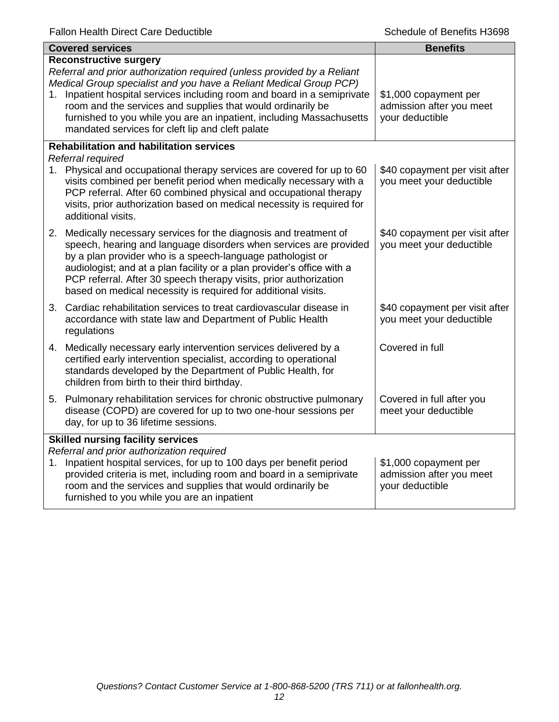|                                          | <b>Covered services</b>                                                                                                                                                                                                                                                                                                                                                                                                                               | <b>Benefits</b>                                                      |
|------------------------------------------|-------------------------------------------------------------------------------------------------------------------------------------------------------------------------------------------------------------------------------------------------------------------------------------------------------------------------------------------------------------------------------------------------------------------------------------------------------|----------------------------------------------------------------------|
|                                          | <b>Reconstructive surgery</b><br>Referral and prior authorization required (unless provided by a Reliant<br>Medical Group specialist and you have a Reliant Medical Group PCP)<br>1. Inpatient hospital services including room and board in a semiprivate<br>room and the services and supplies that would ordinarily be<br>furnished to you while you are an inpatient, including Massachusetts<br>mandated services for cleft lip and cleft palate | \$1,000 copayment per<br>admission after you meet<br>your deductible |
|                                          | <b>Rehabilitation and habilitation services</b>                                                                                                                                                                                                                                                                                                                                                                                                       |                                                                      |
|                                          | Referral required<br>1. Physical and occupational therapy services are covered for up to 60<br>visits combined per benefit period when medically necessary with a<br>PCP referral. After 60 combined physical and occupational therapy<br>visits, prior authorization based on medical necessity is required for<br>additional visits.                                                                                                                | \$40 copayment per visit after<br>you meet your deductible           |
|                                          | 2. Medically necessary services for the diagnosis and treatment of<br>speech, hearing and language disorders when services are provided<br>by a plan provider who is a speech-language pathologist or<br>audiologist; and at a plan facility or a plan provider's office with a<br>PCP referral. After 30 speech therapy visits, prior authorization<br>based on medical necessity is required for additional visits.                                 | \$40 copayment per visit after<br>you meet your deductible           |
|                                          | 3. Cardiac rehabilitation services to treat cardiovascular disease in<br>accordance with state law and Department of Public Health<br>regulations                                                                                                                                                                                                                                                                                                     | \$40 copayment per visit after<br>you meet your deductible           |
|                                          | 4. Medically necessary early intervention services delivered by a<br>certified early intervention specialist, according to operational<br>standards developed by the Department of Public Health, for<br>children from birth to their third birthday.                                                                                                                                                                                                 | Covered in full                                                      |
|                                          | 5. Pulmonary rehabilitation services for chronic obstructive pulmonary<br>disease (COPD) are covered for up to two one-hour sessions per<br>day, for up to 36 lifetime sessions.                                                                                                                                                                                                                                                                      | Covered in full after you<br>meet your deductible                    |
| <b>Skilled nursing facility services</b> |                                                                                                                                                                                                                                                                                                                                                                                                                                                       |                                                                      |
|                                          | Referral and prior authorization required<br>1. Inpatient hospital services, for up to 100 days per benefit period<br>provided criteria is met, including room and board in a semiprivate<br>room and the services and supplies that would ordinarily be<br>furnished to you while you are an inpatient                                                                                                                                               | \$1,000 copayment per<br>admission after you meet<br>your deductible |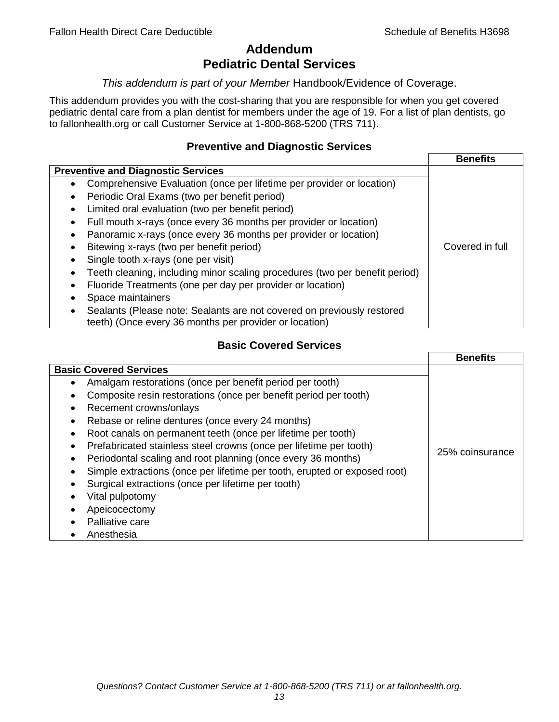# **Addendum Pediatric Dental Services**

### *This addendum is part of your Member* Handbook/Evidence of Coverage.

This addendum provides you with the cost-sharing that you are responsible for when you get covered pediatric dental care from a plan dentist for members under the age of 19. For a list of plan dentists, go to fallonhealth.org or call Customer Service at 1-800-868-5200 (TRS 711).

# **Preventive and Diagnostic Services**

|                                                                             | <b>Benefits</b> |
|-----------------------------------------------------------------------------|-----------------|
| <b>Preventive and Diagnostic Services</b>                                   |                 |
| Comprehensive Evaluation (once per lifetime per provider or location)<br>٠  |                 |
| Periodic Oral Exams (two per benefit period)<br>$\bullet$                   |                 |
| Limited oral evaluation (two per benefit period)<br>$\bullet$               |                 |
| Full mouth x-rays (once every 36 months per provider or location)           |                 |
| Panoramic x-rays (once every 36 months per provider or location)            |                 |
| Bitewing x-rays (two per benefit period)<br>٠                               | Covered in full |
| Single tooth x-rays (one per visit)                                         |                 |
| Teeth cleaning, including minor scaling procedures (two per benefit period) |                 |
| Fluoride Treatments (one per day per provider or location)                  |                 |
| Space maintainers                                                           |                 |
| Sealants (Please note: Sealants are not covered on previously restored      |                 |
| teeth) (Once every 36 months per provider or location)                      |                 |

# **Basic Covered Services**

|                                                                                                                                                                                                                                                                                                                                            | <b>Benefits</b> |
|--------------------------------------------------------------------------------------------------------------------------------------------------------------------------------------------------------------------------------------------------------------------------------------------------------------------------------------------|-----------------|
| <b>Basic Covered Services</b><br>Amalgam restorations (once per benefit period per tooth)<br>Composite resin restorations (once per benefit period per tooth)<br>Recement crowns/onlays<br>Rebase or reline dentures (once every 24 months)<br>Root canals on permanent teeth (once per lifetime per tooth)                                |                 |
| Prefabricated stainless steel crowns (once per lifetime per tooth)<br>Periodontal scaling and root planning (once every 36 months)<br>Simple extractions (once per lifetime per tooth, erupted or exposed root)<br>Surgical extractions (once per lifetime per tooth)<br>Vital pulpotomy<br>Apeicocectomy<br>Palliative care<br>Anesthesia | 25% coinsurance |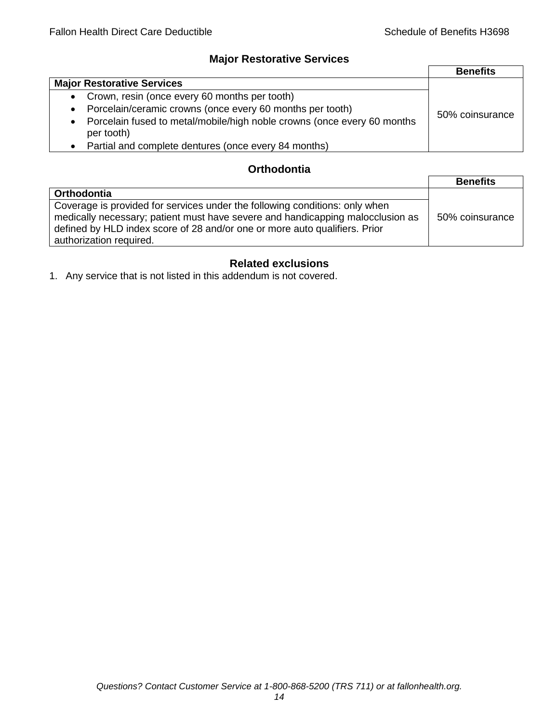# **Major Restorative Services**

|                                                                                                    | <b>Benefits</b> |
|----------------------------------------------------------------------------------------------------|-----------------|
| <b>Major Restorative Services</b>                                                                  |                 |
| • Crown, resin (once every 60 months per tooth)                                                    |                 |
| Porcelain/ceramic crowns (once every 60 months per tooth)<br>$\bullet$                             | 50% coinsurance |
| Porcelain fused to metal/mobile/high noble crowns (once every 60 months<br>$\bullet$<br>per tooth) |                 |
| • Partial and complete dentures (once every 84 months)                                             |                 |

# **Orthodontia**

|                                                                                                                                                                                                                                                                        | <b>Benefits</b> |
|------------------------------------------------------------------------------------------------------------------------------------------------------------------------------------------------------------------------------------------------------------------------|-----------------|
| <b>Orthodontia</b>                                                                                                                                                                                                                                                     |                 |
| Coverage is provided for services under the following conditions: only when<br>medically necessary; patient must have severe and handicapping malocclusion as<br>defined by HLD index score of 28 and/or one or more auto qualifiers. Prior<br>authorization required. | 50% coinsurance |

# **Related exclusions**

1. Any service that is not listed in this addendum is not covered.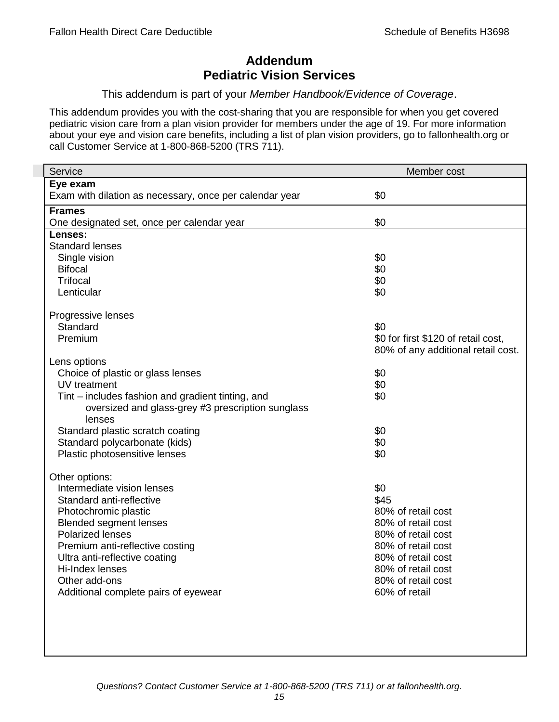# **Addendum Pediatric Vision Services**

### This addendum is part of your *Member Handbook/Evidence of Coverage*.

This addendum provides you with the cost-sharing that you are responsible for when you get covered pediatric vision care from a plan vision provider for members under the age of 19. For more information about your eye and vision care benefits, including a list of plan vision providers, go to fallonhealth.org or call Customer Service at 1-800-868-5200 (TRS 711).

| Service                                                 | Member cost                         |
|---------------------------------------------------------|-------------------------------------|
| Eye exam                                                |                                     |
| Exam with dilation as necessary, once per calendar year | \$0                                 |
| <b>Frames</b>                                           |                                     |
| One designated set, once per calendar year              | \$0                                 |
| Lenses:                                                 |                                     |
| <b>Standard lenses</b>                                  |                                     |
| Single vision                                           | \$0                                 |
| <b>Bifocal</b>                                          | \$0                                 |
| <b>Trifocal</b>                                         | \$0                                 |
| Lenticular                                              | \$0                                 |
| Progressive lenses                                      |                                     |
| Standard                                                | \$0                                 |
| Premium                                                 | \$0 for first \$120 of retail cost, |
|                                                         | 80% of any additional retail cost.  |
| Lens options                                            |                                     |
| Choice of plastic or glass lenses                       | \$0                                 |
| UV treatment                                            | \$0                                 |
| Tint – includes fashion and gradient tinting, and       | \$0                                 |
| oversized and glass-grey #3 prescription sunglass       |                                     |
| lenses                                                  |                                     |
| Standard plastic scratch coating                        | \$0                                 |
| Standard polycarbonate (kids)                           | \$0                                 |
| Plastic photosensitive lenses                           | \$0                                 |
|                                                         |                                     |
| Other options:                                          |                                     |
| Intermediate vision lenses<br>Standard anti-reflective  | \$0<br>\$45                         |
|                                                         | 80% of retail cost                  |
| Photochromic plastic<br><b>Blended segment lenses</b>   | 80% of retail cost                  |
| <b>Polarized lenses</b>                                 | 80% of retail cost                  |
| Premium anti-reflective costing                         | 80% of retail cost                  |
| Ultra anti-reflective coating                           | 80% of retail cost                  |
| Hi-Index lenses                                         | 80% of retail cost                  |
| Other add-ons                                           | 80% of retail cost                  |
| Additional complete pairs of eyewear                    | 60% of retail                       |
|                                                         |                                     |
|                                                         |                                     |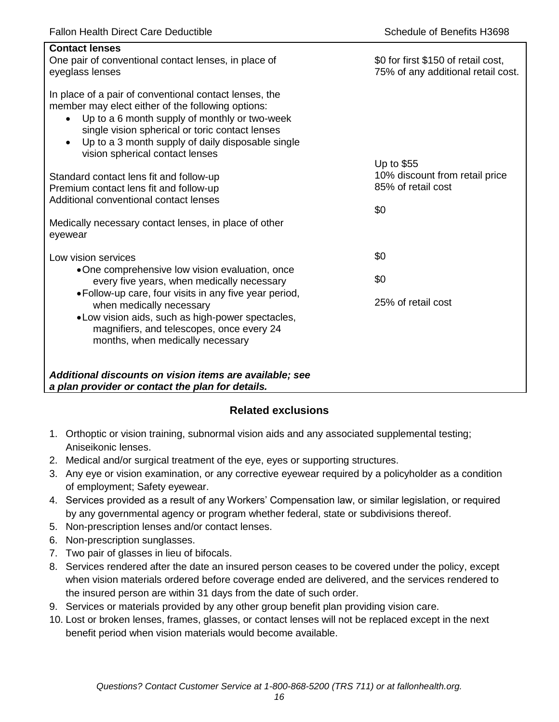| <b>Contact lenses</b><br>One pair of conventional contact lenses, in place of<br>eyeglass lenses                                                                                                                                                                                                                                  | \$0 for first \$150 of retail cost,<br>75% of any additional retail cost. |
|-----------------------------------------------------------------------------------------------------------------------------------------------------------------------------------------------------------------------------------------------------------------------------------------------------------------------------------|---------------------------------------------------------------------------|
| In place of a pair of conventional contact lenses, the<br>member may elect either of the following options:<br>Up to a 6 month supply of monthly or two-week<br>$\bullet$<br>single vision spherical or toric contact lenses<br>Up to a 3 month supply of daily disposable single<br>$\bullet$<br>vision spherical contact lenses |                                                                           |
|                                                                                                                                                                                                                                                                                                                                   | Up to \$55<br>10% discount from retail price                              |
| Standard contact lens fit and follow-up<br>Premium contact lens fit and follow-up                                                                                                                                                                                                                                                 | 85% of retail cost                                                        |
| Additional conventional contact lenses                                                                                                                                                                                                                                                                                            |                                                                           |
|                                                                                                                                                                                                                                                                                                                                   | \$0                                                                       |
| Medically necessary contact lenses, in place of other<br>eyewear                                                                                                                                                                                                                                                                  |                                                                           |
| Low vision services                                                                                                                                                                                                                                                                                                               | \$0                                                                       |
| •One comprehensive low vision evaluation, once<br>every five years, when medically necessary                                                                                                                                                                                                                                      | \$0                                                                       |
| • Follow-up care, four visits in any five year period,<br>when medically necessary<br>.Low vision aids, such as high-power spectacles,<br>magnifiers, and telescopes, once every 24<br>months, when medically necessary                                                                                                           | 25% of retail cost                                                        |
| Additional discounts on vision items are available; see<br>a plan provider or contact the plan for details.                                                                                                                                                                                                                       |                                                                           |

# **Related exclusions**

- 1. Orthoptic or vision training, subnormal vision aids and any associated supplemental testing; Aniseikonic lenses.
- 2. Medical and/or surgical treatment of the eye, eyes or supporting structures.
- 3. Any eye or vision examination, or any corrective eyewear required by a policyholder as a condition of employment; Safety eyewear.
- 4. Services provided as a result of any Workers' Compensation law, or similar legislation, or required by any governmental agency or program whether federal, state or subdivisions thereof.
- 5. Non-prescription lenses and/or contact lenses.
- 6. Non-prescription sunglasses.
- 7. Two pair of glasses in lieu of bifocals.
- 8. Services rendered after the date an insured person ceases to be covered under the policy, except when vision materials ordered before coverage ended are delivered, and the services rendered to the insured person are within 31 days from the date of such order.
- 9. Services or materials provided by any other group benefit plan providing vision care.
- 10. Lost or broken lenses, frames, glasses, or contact lenses will not be replaced except in the next benefit period when vision materials would become available.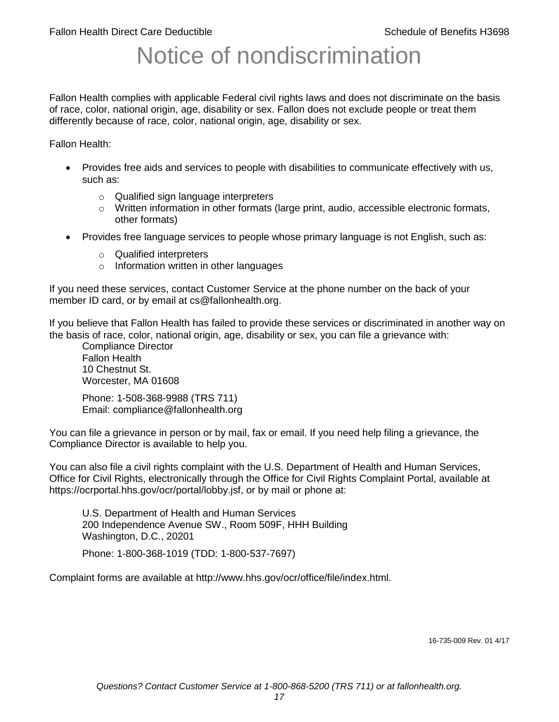# Notice of nondiscrimination

Fallon Health complies with applicable Federal civil rights laws and does not discriminate on the basis of race, color, national origin, age, disability or sex. Fallon does not exclude people or treat them differently because of race, color, national origin, age, disability or sex.

Fallon Health:

- Provides free aids and services to people with disabilities to communicate effectively with us, such as:
	- o Qualified sign language interpreters
	- $\circ$  Written information in other formats (large print, audio, accessible electronic formats, other formats)
- Provides free language services to people whose primary language is not English, such as:
	- o Qualified interpreters
	- o Information written in other languages

If you need these services, contact Customer Service at the phone number on the back of your member ID card, or by email at cs@fallonhealth.org.

If you believe that Fallon Health has failed to provide these services or discriminated in another way on the basis of race, color, national origin, age, disability or sex, you can file a grievance with:

Compliance Director Fallon Health 10 Chestnut St. Worcester, MA 01608

Phone: 1-508-368-9988 (TRS 711) Email: compliance@fallonhealth.org

You can file a grievance in person or by mail, fax or email. If you need help filing a grievance, the Compliance Director is available to help you.

You can also file a civil rights complaint with the U.S. Department of Health and Human Services, Office for Civil Rights, electronically through the Office for Civil Rights Complaint Portal, available at https://ocrportal.hhs.gov/ocr/portal/lobby.jsf, or by mail or phone at:

U.S. Department of Health and Human Services 200 Independence Avenue SW., Room 509F, HHH Building Washington, D.C., 20201

Phone: 1-800-368-1019 (TDD: 1-800-537-7697)

Complaint forms are available at http://www.hhs.gov/ocr/office/file/index.html.

16-735-009 Rev. 01 4/17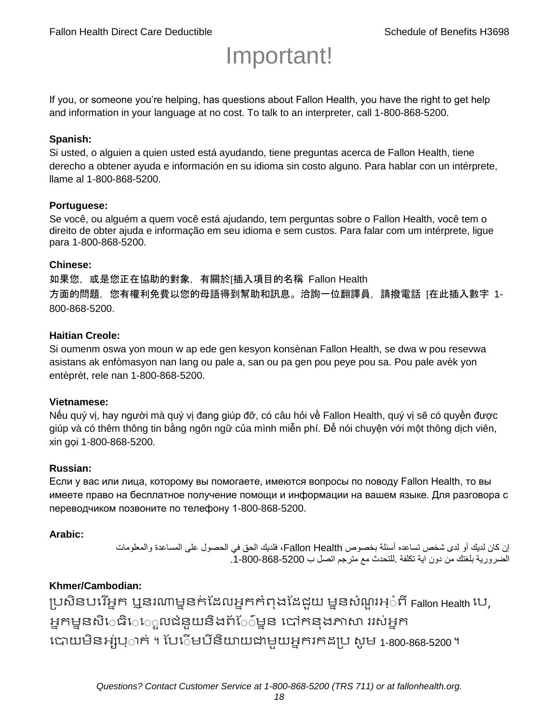# Important!

If you, or someone you're helping, has questions about Fallon Health, you have the right to get help and information in your language at no cost. To talk to an interpreter, call 1-800-868-5200.

#### **Spanish:**

Si usted, o alguien a quien usted está ayudando, tiene preguntas acerca de Fallon Health, tiene derecho a obtener ayuda e información en su idioma sin costo alguno. Para hablar con un intérprete, llame al 1-800-868-5200.

#### **Portuguese:**

Se você, ou alguém a quem você está ajudando, tem perguntas sobre o Fallon Health, você tem o direito de obter ajuda e informação em seu idioma e sem custos. Para falar com um intérprete, ligue para 1-800-868-5200.

#### **Chinese:**

如果您,或是您正在協助的對象,有關於[插入項目的名稱 Fallon Health 方面的問題, 您有權利免費以您的母語得到幫助和訊息。洽詢一位翻譯員, 請撥電話 [在此插入數字 1-800-868-5200.

#### **Haitian Creole:**

Si oumenm oswa yon moun w ap ede gen kesyon konsènan Fallon Health, se dwa w pou resevwa asistans ak enfòmasyon nan lang ou pale a, san ou pa gen pou peye pou sa. Pou pale avèk yon entèprèt, rele nan 1-800-868-5200.

#### **Vietnamese:**

Nếu quý vị, hay người mà quý vị đang giúp đỡ, có câu hỏi về Fallon Health, quý vị sẽ có quyền được giúp và có thêm thông tin bằng ngôn ngữ của mình miễn phí. Để nói chuyện với một thông dịch viên, xin gọi 1-800-868-5200.

#### **Russian:**

Если у вас или лица, которому вы помогаете, имеются вопросы по поводу Fallon Health, то вы имеете право на бесплатное получение помощи и информации на вашем языке. Для разговора с переводчиком позвоните по телефону 1-800-868-5200.

#### **Arabic:**

إن كان لديك أو لدى شخص تساعده أسئلة بخصوص Health Fallon، فلديك الحق في الحصول على المساعدة والمعلومات الضرورية بلغتك من دون اية تكلفة .للتحدث مع مترجم اتصل ب .1-800-868-5200

#### **Khmer/Cambodian:**

ប្រសិនបរើអ្នក ឬនរណាម្ននក់ដែលអ្នកកំពុងដែជយ ម្ននសំណួរអ្៎ពី Fallon Health រប, អ្នកម្ននសិេធិេ្រុលជំនួយនិងព័ែ៌ម្នន បៅកនុងភាសា ររស់អ្នក រោយម្ិនអ្ស់រ្ំ ក់ ។ ដររំម្ រនី ិយាយជាម្ួយអ្នក កែប្រ សូ ម្ 1-800-868-5200 ។